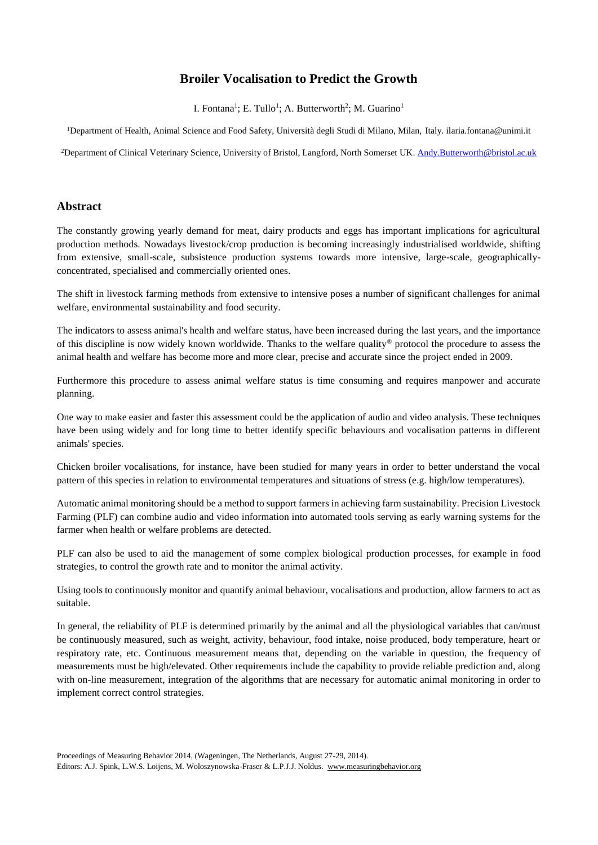# **Broiler Vocalisation to Predict the Growth**

I. Fontana<sup>1</sup>; E. Tullo<sup>1</sup>; A. Butterworth<sup>2</sup>; M. Guarino<sup>1</sup>

<sup>1</sup>Department of Health, Animal Science and Food Safety, Università degli Studi di Milano, Milan, Italy. ilaria.fontana@unimi.it

<sup>2</sup>Department of Clinical Veterinary Science, University of Bristol, Langford, North Somerset UK. [Andy.Butterworth@bristol.ac.uk](mailto:Andy.Butterworth@bristol.ac.uk)

## **Abstract**

The constantly growing yearly demand for meat, dairy products and eggs has important implications for agricultural production methods. Nowadays livestock/crop production is becoming increasingly industrialised worldwide, shifting from extensive, small-scale, subsistence production systems towards more intensive, large-scale, geographicallyconcentrated, specialised and commercially oriented ones.

The shift in livestock farming methods from extensive to intensive poses a number of significant challenges for animal welfare, environmental sustainability and food security.

The indicators to assess animal's health and welfare status, have been increased during the last years, and the importance of this discipline is now widely known worldwide. Thanks to the welfare quality® protocol the procedure to assess the animal health and welfare has become more and more clear, precise and accurate since the project ended in 2009.

Furthermore this procedure to assess animal welfare status is time consuming and requires manpower and accurate planning.

One way to make easier and faster this assessment could be the application of audio and video analysis. These techniques have been using widely and for long time to better identify specific behaviours and vocalisation patterns in different animals' species.

Chicken broiler vocalisations, for instance, have been studied for many years in order to better understand the vocal pattern of this species in relation to environmental temperatures and situations of stress (e.g. high/low temperatures).

Automatic animal monitoring should be a method to support farmers in achieving farm sustainability. Precision Livestock Farming (PLF) can combine audio and video information into automated tools serving as early warning systems for the farmer when health or welfare problems are detected.

PLF can also be used to aid the management of some complex biological production processes, for example in food strategies, to control the growth rate and to monitor the animal activity.

Using tools to continuously monitor and quantify animal behaviour, vocalisations and production, allow farmers to act as suitable.

In general, the reliability of PLF is determined primarily by the animal and all the physiological variables that can/must be continuously measured, such as weight, activity, behaviour, food intake, noise produced, body temperature, heart or respiratory rate, etc. Continuous measurement means that, depending on the variable in question, the frequency of measurements must be high/elevated. Other requirements include the capability to provide reliable prediction and, along with on-line measurement, integration of the algorithms that are necessary for automatic animal monitoring in order to implement correct control strategies.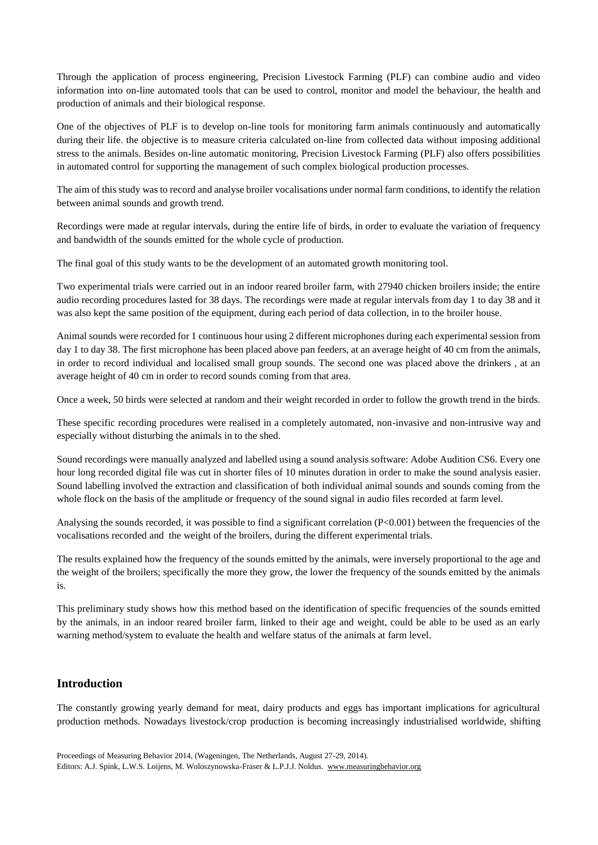Through the application of process engineering, Precision Livestock Farming (PLF) can combine audio and video information into on-line automated tools that can be used to control, monitor and model the behaviour, the health and production of animals and their biological response.

One of the objectives of PLF is to develop on-line tools for monitoring farm animals continuously and automatically during their life. the objective is to measure criteria calculated on-line from collected data without imposing additional stress to the animals. Besides on-line automatic monitoring, Precision Livestock Farming (PLF) also offers possibilities in automated control for supporting the management of such complex biological production processes.

The aim of this study was to record and analyse broiler vocalisations under normal farm conditions, to identify the relation between animal sounds and growth trend.

Recordings were made at regular intervals, during the entire life of birds, in order to evaluate the variation of frequency and bandwidth of the sounds emitted for the whole cycle of production.

The final goal of this study wants to be the development of an automated growth monitoring tool.

Two experimental trials were carried out in an indoor reared broiler farm, with 27940 chicken broilers inside; the entire audio recording procedures lasted for 38 days. The recordings were made at regular intervals from day 1 to day 38 and it was also kept the same position of the equipment, during each period of data collection, in to the broiler house.

Animal sounds were recorded for 1 continuous hour using 2 different microphones during each experimental session from day 1 to day 38. The first microphone has been placed above pan feeders, at an average height of 40 cm from the animals, in order to record individual and localised small group sounds. The second one was placed above the drinkers , at an average height of 40 cm in order to record sounds coming from that area.

Once a week, 50 birds were selected at random and their weight recorded in order to follow the growth trend in the birds.

These specific recording procedures were realised in a completely automated, non-invasive and non-intrusive way and especially without disturbing the animals in to the shed.

Sound recordings were manually analyzed and labelled using a sound analysis software: Adobe Audition CS6. Every one hour long recorded digital file was cut in shorter files of 10 minutes duration in order to make the sound analysis easier. Sound labelling involved the extraction and classification of both individual animal sounds and sounds coming from the whole flock on the basis of the amplitude or frequency of the sound signal in audio files recorded at farm level.

Analysing the sounds recorded, it was possible to find a significant correlation  $(P< 0.001)$  between the frequencies of the vocalisations recorded and the weight of the broilers, during the different experimental trials.

The results explained how the frequency of the sounds emitted by the animals, were inversely proportional to the age and the weight of the broilers; specifically the more they grow, the lower the frequency of the sounds emitted by the animals is.

This preliminary study shows how this method based on the identification of specific frequencies of the sounds emitted by the animals, in an indoor reared broiler farm, linked to their age and weight, could be able to be used as an early warning method/system to evaluate the health and welfare status of the animals at farm level.

### **Introduction**

The constantly growing yearly demand for meat, dairy products and eggs has important implications for agricultural production methods. Nowadays livestock/crop production is becoming increasingly industrialised worldwide, shifting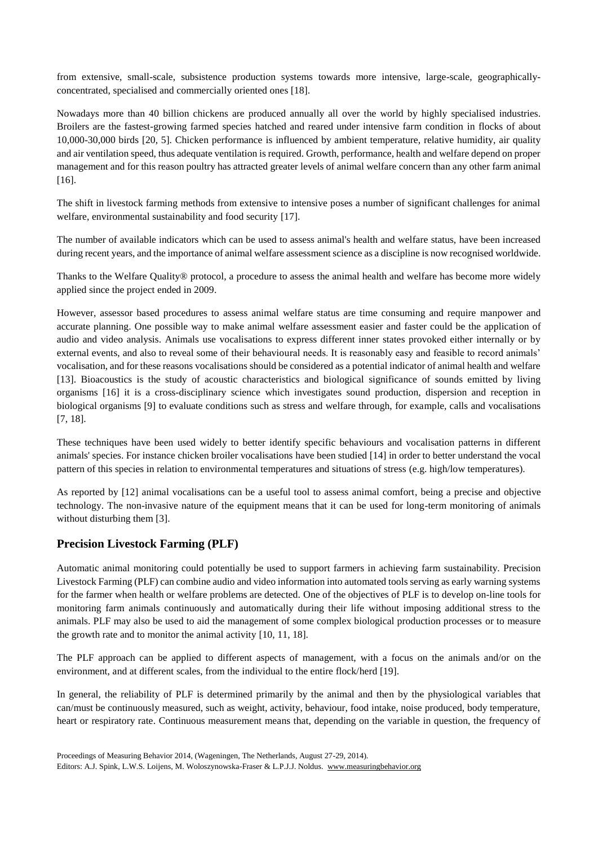from extensive, small-scale, subsistence production systems towards more intensive, large-scale, geographicallyconcentrated, specialised and commercially oriented ones [18].

Nowadays more than 40 billion chickens are produced annually all over the world by highly specialised industries. Broilers are the fastest-growing farmed species hatched and reared under intensive farm condition in flocks of about 10,000-30,000 birds [20, 5]. Chicken performance is influenced by ambient temperature, relative humidity, air quality and air ventilation speed, thus adequate ventilation is required. Growth, performance, health and welfare depend on proper management and for this reason poultry has attracted greater levels of animal welfare concern than any other farm animal [16].

The shift in livestock farming methods from extensive to intensive poses a number of significant challenges for animal welfare, environmental sustainability and food security [17].

The number of available indicators which can be used to assess animal's health and welfare status, have been increased during recent years, and the importance of animal welfare assessment science as a discipline is now recognised worldwide.

Thanks to the Welfare Quality® protocol, a procedure to assess the animal health and welfare has become more widely applied since the project ended in 2009.

However, assessor based procedures to assess animal welfare status are time consuming and require manpower and accurate planning. One possible way to make animal welfare assessment easier and faster could be the application of audio and video analysis. Animals use vocalisations to express different inner states provoked either internally or by external events, and also to reveal some of their behavioural needs. It is reasonably easy and feasible to record animals' vocalisation, and for these reasons vocalisations should be considered as a potential indicator of animal health and welfare [13]. Bioacoustics is the study of acoustic characteristics and biological significance of sounds emitted by living organisms [16] it is a cross-disciplinary science which investigates sound production, dispersion and reception in biological organisms [9] to evaluate conditions such as stress and welfare through, for example, calls and vocalisations [7, 18].

These techniques have been used widely to better identify specific behaviours and vocalisation patterns in different animals' species. For instance chicken broiler vocalisations have been studied [14] in order to better understand the vocal pattern of this species in relation to environmental temperatures and situations of stress (e.g. high/low temperatures).

As reported by [12] animal vocalisations can be a useful tool to assess animal comfort, being a precise and objective technology. The non-invasive nature of the equipment means that it can be used for long-term monitoring of animals without disturbing them [3].

### **Precision Livestock Farming (PLF)**

Automatic animal monitoring could potentially be used to support farmers in achieving farm sustainability. Precision Livestock Farming (PLF) can combine audio and video information into automated tools serving as early warning systems for the farmer when health or welfare problems are detected. One of the objectives of PLF is to develop on-line tools for monitoring farm animals continuously and automatically during their life without imposing additional stress to the animals. PLF may also be used to aid the management of some complex biological production processes or to measure the growth rate and to monitor the animal activity [10, 11, 18].

The PLF approach can be applied to different aspects of management, with a focus on the animals and/or on the environment, and at different scales, from the individual to the entire flock/herd [19].

In general, the reliability of PLF is determined primarily by the animal and then by the physiological variables that can/must be continuously measured, such as weight, activity, behaviour, food intake, noise produced, body temperature, heart or respiratory rate. Continuous measurement means that, depending on the variable in question, the frequency of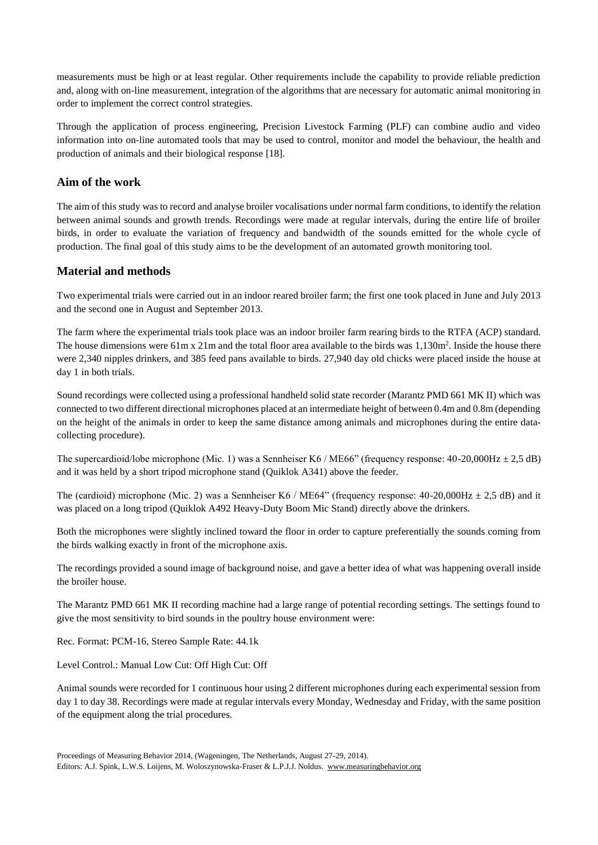measurements must be high or at least regular. Other requirements include the capability to provide reliable prediction and, along with on-line measurement, integration of the algorithms that are necessary for automatic animal monitoring in order to implement the correct control strategies.

Through the application of process engineering, Precision Livestock Farming (PLF) can combine audio and video information into on-line automated tools that may be used to control, monitor and model the behaviour, the health and production of animals and their biological response [18].

## **Aim of the work**

The aim of this study was to record and analyse broiler vocalisations under normal farm conditions, to identify the relation between animal sounds and growth trends. Recordings were made at regular intervals, during the entire life of broiler birds, in order to evaluate the variation of frequency and bandwidth of the sounds emitted for the whole cycle of production. The final goal of this study aims to be the development of an automated growth monitoring tool.

## **Material and methods**

Two experimental trials were carried out in an indoor reared broiler farm; the first one took placed in June and July 2013 and the second one in August and September 2013.

The farm where the experimental trials took place was an indoor broiler farm rearing birds to the RTFA (ACP) standard. The house dimensions were 61m x 21m and the total floor area available to the birds was  $1,130m^2$ . Inside the house there were 2,340 nipples drinkers, and 385 feed pans available to birds. 27,940 day old chicks were placed inside the house at day 1 in both trials.

Sound recordings were collected using a professional handheld solid state recorder (Marantz PMD 661 MK II) which was connected to two different directional microphones placed at an intermediate height of between 0.4m and 0.8m (depending on the height of the animals in order to keep the same distance among animals and microphones during the entire datacollecting procedure).

The supercardioid/lobe microphone (Mic. 1) was a Sennheiser K6 / ME66" (frequency response:  $40-20,000Hz \pm 2.5 dB$ ) and it was held by a short tripod microphone stand (Quiklok A341) above the feeder.

The (cardioid) microphone (Mic. 2) was a Sennheiser K6 / ME64" (frequency response:  $40\text{-}20,000\text{Hz} \pm 2.5 \text{ dB}$ ) and it was placed on a long tripod (Quiklok A492 Heavy-Duty Boom Mic Stand) directly above the drinkers.

Both the microphones were slightly inclined toward the floor in order to capture preferentially the sounds coming from the birds walking exactly in front of the microphone axis.

The recordings provided a sound image of background noise, and gave a better idea of what was happening overall inside the broiler house.

The Marantz PMD 661 MK II recording machine had a large range of potential recording settings. The settings found to give the most sensitivity to bird sounds in the poultry house environment were:

Rec. Format: PCM-16, Stereo Sample Rate: 44.1k

Level Control.: Manual Low Cut: Off High Cut: Off

Animal sounds were recorded for 1 continuous hour using 2 different microphones during each experimental session from day 1 to day 38. Recordings were made at regular intervals every Monday, Wednesday and Friday, with the same position of the equipment along the trial procedures.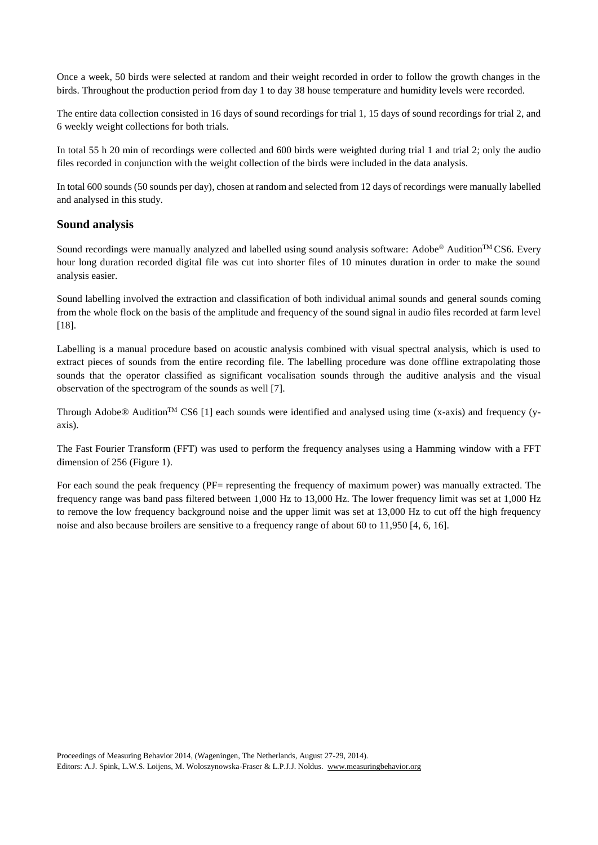Once a week, 50 birds were selected at random and their weight recorded in order to follow the growth changes in the birds. Throughout the production period from day 1 to day 38 house temperature and humidity levels were recorded.

The entire data collection consisted in 16 days of sound recordings for trial 1, 15 days of sound recordings for trial 2, and 6 weekly weight collections for both trials.

In total 55 h 20 min of recordings were collected and 600 birds were weighted during trial 1 and trial 2; only the audio files recorded in conjunction with the weight collection of the birds were included in the data analysis.

In total 600 sounds (50 sounds per day), chosen at random and selected from 12 days of recordings were manually labelled and analysed in this study.

#### **Sound analysis**

Sound recordings were manually analyzed and labelled using sound analysis software: Adobe® Audition<sup>™</sup>CS6. Every hour long duration recorded digital file was cut into shorter files of 10 minutes duration in order to make the sound analysis easier.

Sound labelling involved the extraction and classification of both individual animal sounds and general sounds coming from the whole flock on the basis of the amplitude and frequency of the sound signal in audio files recorded at farm level [18].

Labelling is a manual procedure based on acoustic analysis combined with visual spectral analysis, which is used to extract pieces of sounds from the entire recording file. The labelling procedure was done offline extrapolating those sounds that the operator classified as significant vocalisation sounds through the auditive analysis and the visual observation of the spectrogram of the sounds as well [7].

Through Adobe® Audition<sup>™</sup> CS6 [1] each sounds were identified and analysed using time (x-axis) and frequency (yaxis).

The Fast Fourier Transform (FFT) was used to perform the frequency analyses using a Hamming window with a FFT dimension of 256 (Figure 1).

For each sound the peak frequency (PF= representing the frequency of maximum power) was manually extracted. The frequency range was band pass filtered between 1,000 Hz to 13,000 Hz. The lower frequency limit was set at 1,000 Hz to remove the low frequency background noise and the upper limit was set at 13,000 Hz to cut off the high frequency noise and also because broilers are sensitive to a frequency range of about 60 to 11,950 [4, 6, 16].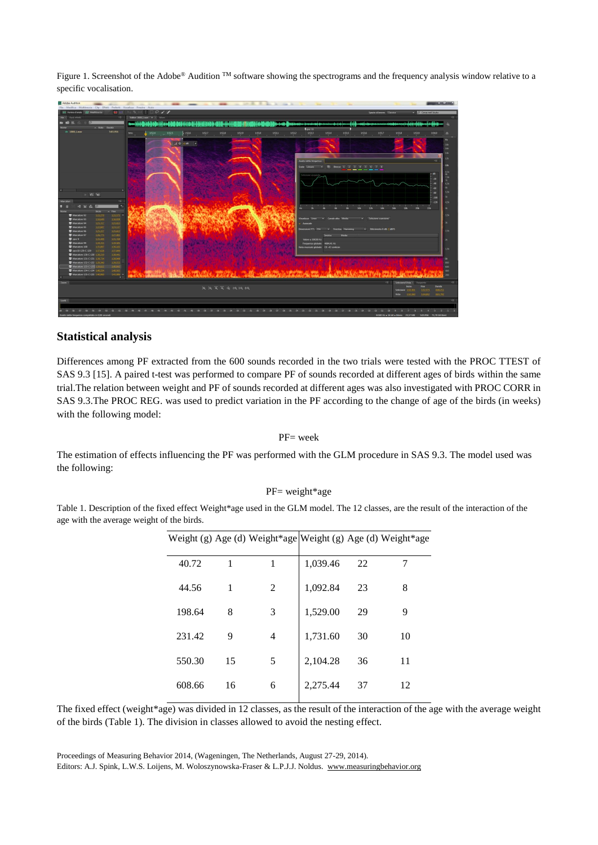Figure 1. Screenshot of the Adobe® Audition  $TM$  software showing the spectrograms and the frequency analysis window relative to a specific vocalisation.



## **Statistical analysis**

Differences among PF extracted from the 600 sounds recorded in the two trials were tested with the PROC TTEST of SAS 9.3 [15]. A paired t-test was performed to compare PF of sounds recorded at different ages of birds within the same trial.The relation between weight and PF of sounds recorded at different ages was also investigated with PROC CORR in SAS 9.3.The PROC REG. was used to predict variation in the PF according to the change of age of the birds (in weeks) with the following model:

PF= week

The estimation of effects influencing the PF was performed with the GLM procedure in SAS 9.3. The model used was the following:

#### PF= weight\*age

Table 1. Description of the fixed effect Weight\*age used in the GLM model. The 12 classes, are the result of the interaction of the age with the average weight of the birds.

|        |    | Weight (g) Age (d) Weight*age Weight (g) Age (d) Weight*age |          |    |    |
|--------|----|-------------------------------------------------------------|----------|----|----|
| 40.72  | 1  | 1                                                           | 1,039.46 | 22 | 7  |
| 44.56  | 1  | 2                                                           | 1,092.84 | 23 | 8  |
| 198.64 | 8  | 3                                                           | 1,529.00 | 29 | 9  |
| 231.42 | 9  | 4                                                           | 1,731.60 | 30 | 10 |
| 550.30 | 15 | 5                                                           | 2,104.28 | 36 | 11 |
| 608.66 | 16 | 6                                                           | 2,275.44 | 37 | 12 |

The fixed effect (weight\*age) was divided in 12 classes, as the result of the interaction of the age with the average weight of the birds (Table 1). The division in classes allowed to avoid the nesting effect.

Proceedings of Measuring Behavior 2014, (Wageningen, The Netherlands, August 27-29, 2014).

Editors: A.J. Spink, L.W.S. Loijens, M. Woloszynowska-Fraser & L.P.J.J. Noldus. [www.measuringbehavior.org](http://www.measuringbehavior.org/)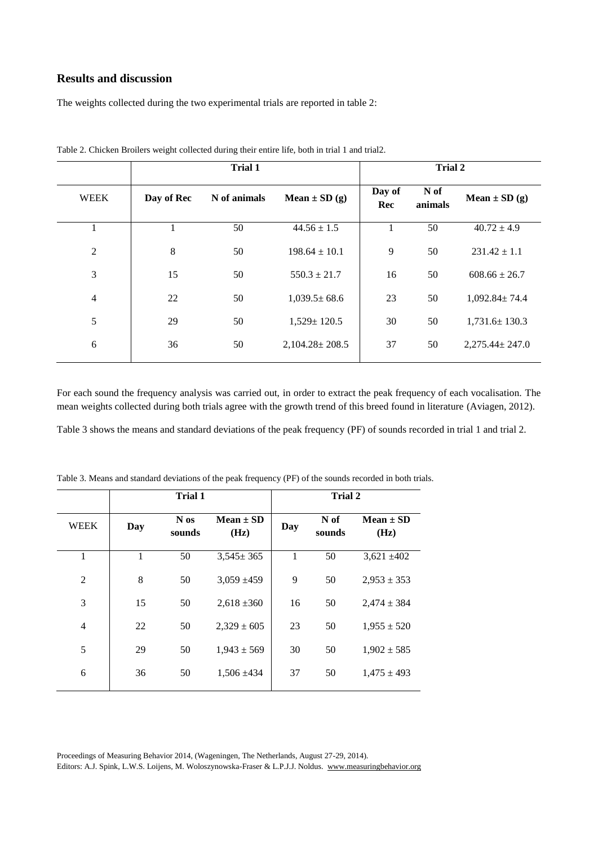# **Results and discussion**

The weights collected during the two experimental trials are reported in table 2:

|                |            | Trial 1      | Trial 2              |               |                 |                      |
|----------------|------------|--------------|----------------------|---------------|-----------------|----------------------|
| <b>WEEK</b>    | Day of Rec | N of animals | Mean $\pm$ SD (g)    | Day of<br>Rec | N of<br>animals | Mean $\pm$ SD (g)    |
| 1              |            | 50           | $44.56 \pm 1.5$      | 1             | 50              | $40.72 \pm 4.9$      |
| $\overline{2}$ | 8          | 50           | $198.64 \pm 10.1$    | 9             | 50              | $231.42 \pm 1.1$     |
| 3              | 15         | 50           | $550.3 \pm 21.7$     | 16            | 50              | $608.66 \pm 26.7$    |
| $\overline{4}$ | 22         | 50           | $1,039.5\pm 68.6$    | 23            | 50              | $1,092.84 \pm 74.4$  |
| 5              | 29         | 50           | $1,529 \pm 120.5$    | 30            | 50              | $1,731.6 \pm 130.3$  |
| 6              | 36         | 50           | $2,104.28 \pm 208.5$ | 37            | 50              | $2,275.44 \pm 247.0$ |

Table 2. Chicken Broilers weight collected during their entire life, both in trial 1 and trial2.

For each sound the frequency analysis was carried out, in order to extract the peak frequency of each vocalisation. The mean weights collected during both trials agree with the growth trend of this breed found in literature (Aviagen, 2012).

Table 3 shows the means and standard deviations of the peak frequency (PF) of sounds recorded in trial 1 and trial 2.

|                |     |                |                       | <b>Trial 2</b> |                |                       |
|----------------|-----|----------------|-----------------------|----------------|----------------|-----------------------|
| <b>WEEK</b>    | Day | N os<br>sounds | $Mean \pm SD$<br>(Hz) | Day            | N of<br>sounds | $Mean \pm SD$<br>(Hz) |
| 1              | 1   | 50             | $3,545 \pm 365$       | $\mathbf{1}$   | 50             | $3,621 \pm 402$       |
| $\overline{2}$ | 8   | 50             | $3,059 \pm 459$       | 9              | 50             | $2,953 \pm 353$       |
| 3              | 15  | 50             | $2,618 \pm 360$       | 16             | 50             | $2,474 \pm 384$       |
| $\overline{4}$ | 22  | 50             | $2,329 \pm 605$       | 23             | 50             | $1,955 \pm 520$       |
| 5              | 29  | 50             | $1,943 \pm 569$       | 30             | 50             | $1,902 \pm 585$       |
| 6              | 36  | 50             | $1,506 \pm 434$       | 37             | 50             | $1,475 \pm 493$       |

Table 3. Means and standard deviations of the peak frequency (PF) of the sounds recorded in both trials.

Proceedings of Measuring Behavior 2014, (Wageningen, The Netherlands, August 27-29, 2014). Editors: A.J. Spink, L.W.S. Loijens, M. Woloszynowska-Fraser & L.P.J.J. Noldus. [www.measuringbehavior.org](http://www.measuringbehavior.org/)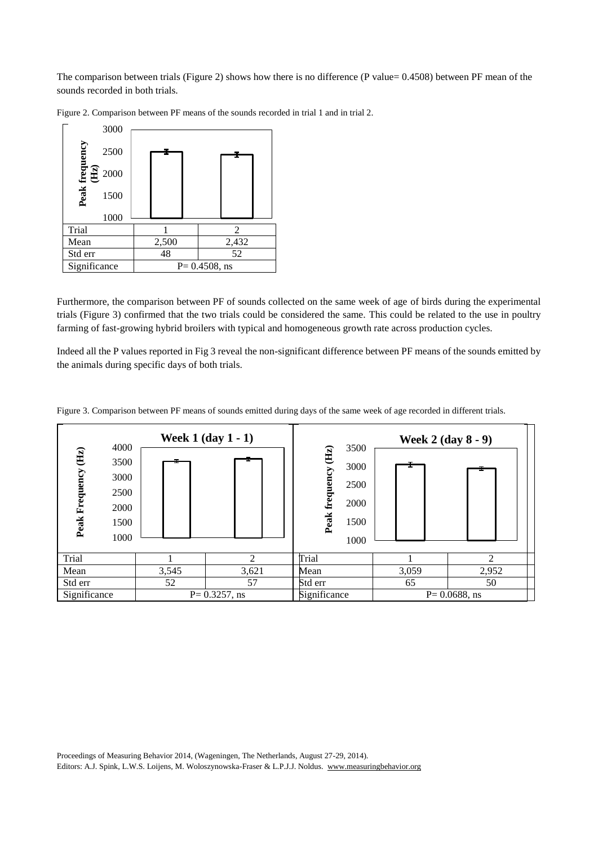The comparison between trials (Figure 2) shows how there is no difference (P value= 0.4508) between PF mean of the sounds recorded in both trials.



Figure 2. Comparison between PF means of the sounds recorded in trial 1 and in trial 2.

Furthermore, the comparison between PF of sounds collected on the same week of age of birds during the experimental trials (Figure 3) confirmed that the two trials could be considered the same. This could be related to the use in poultry farming of fast-growing hybrid broilers with typical and homogeneous growth rate across production cycles.

Indeed all the P values reported in Fig 3 reveal the non-significant difference between PF means of the sounds emitted by the animals during specific days of both trials.

|  |  |  | Figure 3. Comparison between PF means of sounds emitted during days of the same week of age recorded in different trials. |
|--|--|--|---------------------------------------------------------------------------------------------------------------------------|
|  |  |  |                                                                                                                           |

| <b>Week 1 (day 1 - 1)</b><br>4000                                                                                                                                                                                                                                                                                                                                                                                                                              |                                              |       | 3500              | <b>Week 2 (day 8 - 9)</b>                                                                                                                                                                                                                                                                                                                                                                                                                                                                                                                                                                                                                                              |       |                |
|----------------------------------------------------------------------------------------------------------------------------------------------------------------------------------------------------------------------------------------------------------------------------------------------------------------------------------------------------------------------------------------------------------------------------------------------------------------|----------------------------------------------|-------|-------------------|------------------------------------------------------------------------------------------------------------------------------------------------------------------------------------------------------------------------------------------------------------------------------------------------------------------------------------------------------------------------------------------------------------------------------------------------------------------------------------------------------------------------------------------------------------------------------------------------------------------------------------------------------------------------|-------|----------------|
| $\begin{array}{c} \mathbf{(Hz)}\\ \mathbf{(Hz)}\\ \mathbf{(Hz)}\\ \mathbf{(Hz)}\\ \mathbf{(Hz)}\\ \mathbf{(Hz)}\\ \mathbf{(Hz)}\\ \mathbf{(Hz)}\\ \mathbf{(Hz)}\\ \mathbf{(Hz)}\\ \mathbf{(Hz)}\\ \mathbf{(Hz)}\\ \mathbf{(Hz)}\\ \mathbf{(Hz)}\\ \mathbf{(Hz)}\\ \mathbf{(Hz)}\\ \mathbf{(Hz)}\\ \mathbf{(Hz)}\\ \mathbf{(Hz)}\\ \mathbf{(Hz)}\\ \mathbf{(Hz)}\\ \mathbf{(Hz)}\\ \mathbf{(Hz)}\\ \mathbf{(Hz)}\\ \mathbf{(Hz)}\\ \mathbf{($<br>Peak Frequency | 3500<br>3000<br>2500<br>2000<br>1500<br>1000 |       |                   | $\begin{array}{c} \mathrm{(Hz)}\\ \mathrm{(Hz)}\\ \mathrm{(Hz)}\\ \mathrm{(Hz)}\\ \mathrm{(Hz)}\\ \mathrm{(Hz)}\\ \mathrm{(Hz)}\\ \mathrm{(Hz)}\\ \mathrm{(Hz)}\\ \mathrm{(Hz)}\\ \mathrm{(Hz)}\\ \mathrm{(Hz)}\\ \mathrm{(Hz)}\\ \mathrm{(Hz)}\\ \mathrm{(Hz)}\\ \mathrm{(Hz)}\\ \mathrm{(Hz)}\\ \mathrm{(Hz)}\\ \mathrm{(Hz)}\\ \mathrm{(Hz)}\\ \mathrm{(Hz)}\\ \mathrm{(Hz)}\\ \mathrm{(Hz)}\\ \mathrm{(Hz)}\\ \mathrm{(Hz)}\\ \mathrm{(Hz)}\\ \mathrm{(Hz)}\\ \mathrm{(Hz)}\\ \mathrm{(Hz)}\\ \mathrm{(Hz)}\\ \mathrm{(Hz)}\\ \mathrm{(Hz)}\\ \mathrm{(Hz)}\\ \mathrm{(Hz)}\\ \mathrm{(Hz)}\\ \mathrm{($<br>3000<br>Peak frequency<br>2500<br>2000<br>1500<br>1000 |       |                |
| Trial                                                                                                                                                                                                                                                                                                                                                                                                                                                          |                                              |       | $\mathfrak{D}$    | Trial                                                                                                                                                                                                                                                                                                                                                                                                                                                                                                                                                                                                                                                                  |       | $\mathfrak{D}$ |
| Mean                                                                                                                                                                                                                                                                                                                                                                                                                                                           |                                              | 3,545 | 3,621             | Mean                                                                                                                                                                                                                                                                                                                                                                                                                                                                                                                                                                                                                                                                   | 3,059 | 2,952          |
| Std err                                                                                                                                                                                                                                                                                                                                                                                                                                                        |                                              | 52    | 57                | Std err                                                                                                                                                                                                                                                                                                                                                                                                                                                                                                                                                                                                                                                                | 65    | 50             |
| Significance                                                                                                                                                                                                                                                                                                                                                                                                                                                   |                                              |       | $P = 0.3257$ , ns | Significance<br>$P = 0.0688$ , ns                                                                                                                                                                                                                                                                                                                                                                                                                                                                                                                                                                                                                                      |       |                |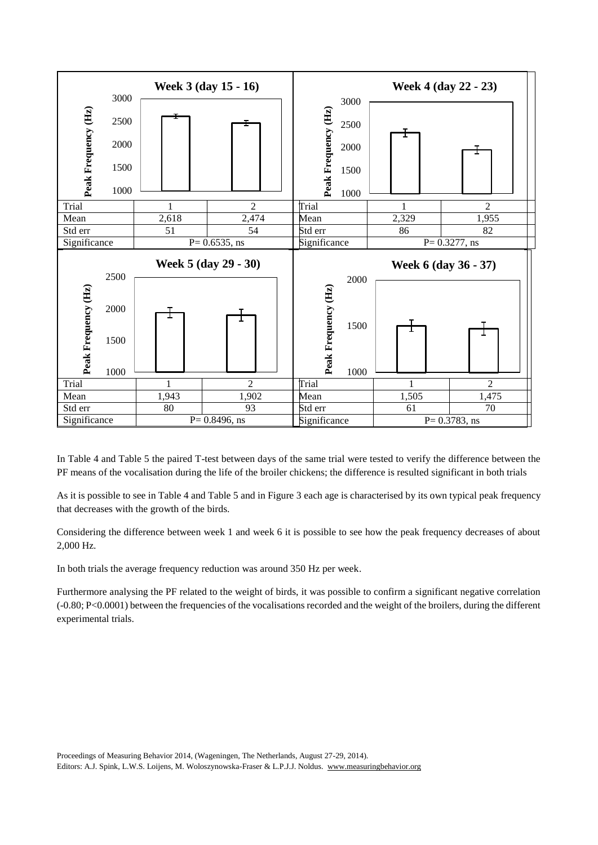

In Table 4 and Table 5 the paired T-test between days of the same trial were tested to verify the difference between the PF means of the vocalisation during the life of the broiler chickens; the difference is resulted significant in both trials

As it is possible to see in Table 4 and Table 5 and in Figure 3 each age is characterised by its own typical peak frequency that decreases with the growth of the birds.

Considering the difference between week 1 and week 6 it is possible to see how the peak frequency decreases of about 2,000 Hz.

In both trials the average frequency reduction was around 350 Hz per week.

Furthermore analysing the PF related to the weight of birds, it was possible to confirm a significant negative correlation (-0.80; P<0.0001) between the frequencies of the vocalisations recorded and the weight of the broilers, during the different experimental trials.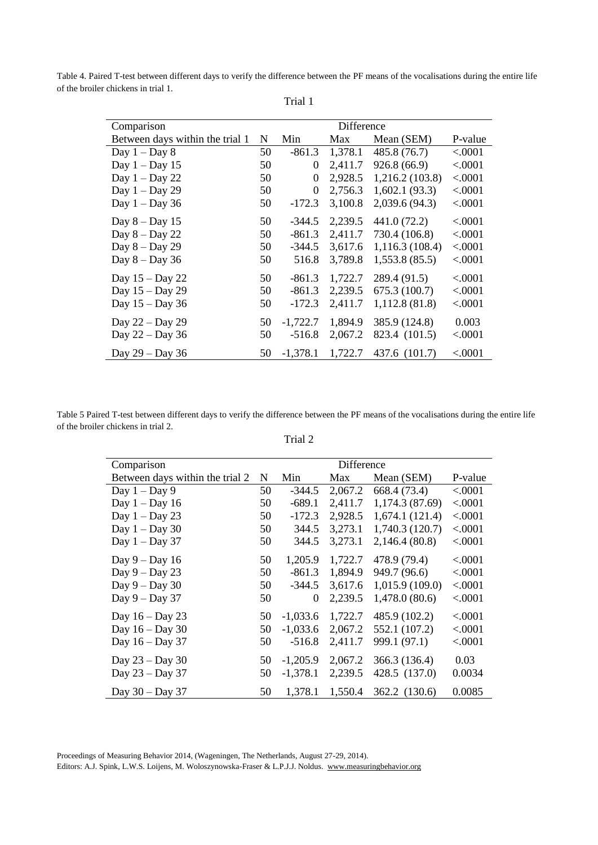Table 4. Paired T-test between different days to verify the difference between the PF means of the vocalisations during the entire life of the broiler chickens in trial 1.

| Comparison                      |    | Difference     |         |                 |         |  |
|---------------------------------|----|----------------|---------|-----------------|---------|--|
| Between days within the trial 1 | N  | Min            | Max     | Mean (SEM)      | P-value |  |
| Day $1 - Day 8$                 | 50 | $-861.3$       | 1,378.1 | 485.8 (76.7)    | < .0001 |  |
| Day $1 - Day 15$                | 50 | 0              | 2,411.7 | 926.8(66.9)     | < .0001 |  |
| Day $1 -$ Day 22                | 50 | $\theta$       | 2,928.5 | 1,216.2 (103.8) | < .0001 |  |
| Day $1 -$ Day 29                | 50 | $\overline{0}$ | 2,756.3 | 1,602.1(93.3)   | < .0001 |  |
| Day $1 -$ Day 36                | 50 | $-172.3$       | 3,100.8 | 2,039.6 (94.3)  | < .0001 |  |
| Day $8 - Day 15$                | 50 | $-344.5$       | 2,239.5 | 441.0 (72.2)    | < .0001 |  |
| Day $8 -$ Day 22                | 50 | $-861.3$       | 2,411.7 | 730.4 (106.8)   | < .0001 |  |
| Day $8 - Day 29$                | 50 | $-344.5$       | 3,617.6 | 1,116.3(108.4)  | < .0001 |  |
| Day $8 - Day 36$                | 50 | 516.8          | 3,789.8 | 1,553.8(85.5)   | < .0001 |  |
| Day $15 - Day 22$               | 50 | $-861.3$       | 1,722.7 | 289.4 (91.5)    | < .0001 |  |
| Day 15 - Day 29                 | 50 | $-861.3$       | 2,239.5 | 675.3(100.7)    | < .0001 |  |
| Day $15 - Day 36$               | 50 | $-172.3$       | 2,411.7 | 1,112.8(81.8)   | < .0001 |  |
| Day 22 – Day 29                 | 50 | $-1,722.7$     | 1,894.9 | 385.9 (124.8)   | 0.003   |  |
| Day 22 – Day 36                 | 50 | $-516.8$       | 2,067.2 | 823.4 (101.5)   | < .0001 |  |
| Day 29 – Day 36                 | 50 | $-1,378.1$     | 1,722.7 | 437.6 (101.7)   | < .0001 |  |

Trial 1

Table 5 Paired T-test between different days to verify the difference between the PF means of the vocalisations during the entire life of the broiler chickens in trial 2.

| Comparison                      |    |                  | Difference |                 |         |
|---------------------------------|----|------------------|------------|-----------------|---------|
| Between days within the trial 2 | N  | Min              | Max        | Mean (SEM)      | P-value |
| Day $1 - Day 9$                 | 50 | $-344.5$         | 2,067.2    | 668.4 (73.4)    | < .0001 |
| Day $1 - Day 16$                | 50 | $-689.1$         | 2,411.7    | 1,174.3 (87.69) | < .0001 |
| Day $1 -$ Day 23                | 50 | $-172.3$         | 2,928.5    | 1,674.1(121.4)  | < .0001 |
| Day $1 - Day 30$                | 50 | 344.5            | 3,273.1    | 1,740.3(120.7)  | < .0001 |
| Day $1 -$ Day 37                | 50 | 344.5            | 3,273.1    | 2,146.4(80.8)   | < .0001 |
| Day $9 - Day 16$                | 50 | 1,205.9          | 1,722.7    | 478.9 (79.4)    | < .0001 |
| Day $9 - Day 23$                | 50 | $-861.3$         | 1,894.9    | 949.7 (96.6)    | < .0001 |
| Day 9 - Day 30                  | 50 | $-344.5$         | 3,617.6    | 1,015.9(109.0)  | < .0001 |
| Day $9 - Day 37$                | 50 | $\boldsymbol{0}$ | 2,239.5    | 1,478.0(80.6)   | < .0001 |
| Day $16 - Day 23$               | 50 | $-1,033.6$       | 1,722.7    | 485.9 (102.2)   | < .0001 |
| Day $16 - Day 30$               | 50 | $-1,033.6$       | 2,067.2    | 552.1 (107.2)   | < .0001 |
| Day $16 - Day 37$               | 50 | $-516.8$         | 2,411.7    | 999.1 (97.1)    | < .0001 |
| Day $23 - Day 30$               | 50 | $-1,205.9$       | 2,067.2    | 366.3 (136.4)   | 0.03    |
| Day 23 – Day 37                 | 50 | $-1,378.1$       | 2,239.5    | 428.5 (137.0)   | 0.0034  |
| Day $30 - Day 37$               | 50 | 1,378.1          | 1,550.4    | 362.2 (130.6)   | 0.0085  |

Trial 2

Proceedings of Measuring Behavior 2014, (Wageningen, The Netherlands, August 27-29, 2014). Editors: A.J. Spink, L.W.S. Loijens, M. Woloszynowska-Fraser & L.P.J.J. Noldus. [www.measuringbehavior.org](http://www.measuringbehavior.org/)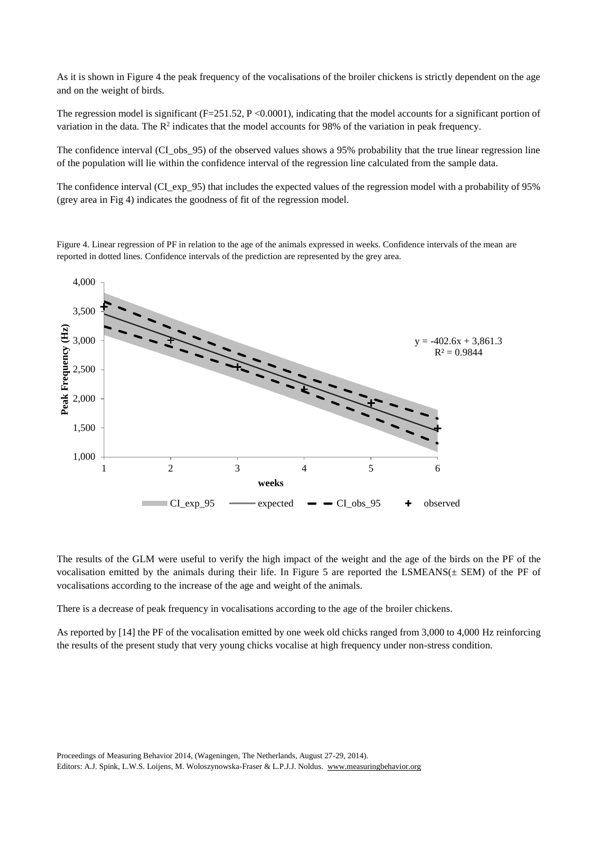As it is shown in Figure 4 the peak frequency of the vocalisations of the broiler chickens is strictly dependent on the age and on the weight of birds.

The regression model is significant (F=251.52, P <0.0001), indicating that the model accounts for a significant portion of variation in the data. The  $\mathbb{R}^2$  indicates that the model accounts for 98% of the variation in peak frequency.

The confidence interval (CI\_obs\_95) of the observed values shows a 95% probability that the true linear regression line of the population will lie within the confidence interval of the regression line calculated from the sample data.

The confidence interval (CI\_exp\_95) that includes the expected values of the regression model with a probability of 95% (grey area in Fig 4) indicates the goodness of fit of the regression model.

Figure 4. Linear regression of PF in relation to the age of the animals expressed in weeks. Confidence intervals of the mean are reported in dotted lines. Confidence intervals of the prediction are represented by the grey area.



The results of the GLM were useful to verify the high impact of the weight and the age of the birds on the PF of the vocalisation emitted by the animals during their life. In Figure 5 are reported the LSMEANS(± SEM) of the PF of vocalisations according to the increase of the age and weight of the animals.

There is a decrease of peak frequency in vocalisations according to the age of the broiler chickens.

As reported by [14] the PF of the vocalisation emitted by one week old chicks ranged from 3,000 to 4,000 Hz reinforcing the results of the present study that very young chicks vocalise at high frequency under non-stress condition.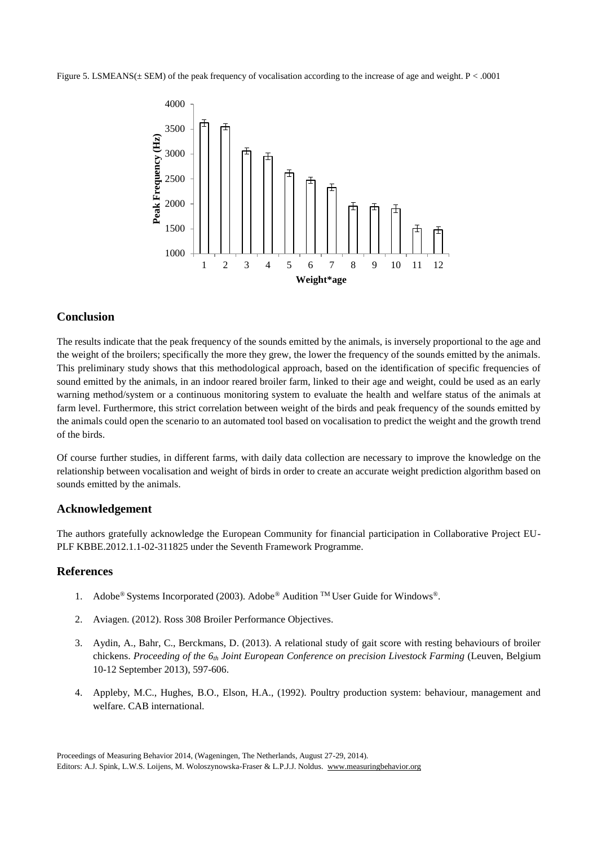Figure 5. LSMEANS( $\pm$  SEM) of the peak frequency of vocalisation according to the increase of age and weight. P < .0001



#### **Conclusion**

The results indicate that the peak frequency of the sounds emitted by the animals, is inversely proportional to the age and the weight of the broilers; specifically the more they grew, the lower the frequency of the sounds emitted by the animals. This preliminary study shows that this methodological approach, based on the identification of specific frequencies of sound emitted by the animals, in an indoor reared broiler farm, linked to their age and weight, could be used as an early warning method/system or a continuous monitoring system to evaluate the health and welfare status of the animals at farm level. Furthermore, this strict correlation between weight of the birds and peak frequency of the sounds emitted by the animals could open the scenario to an automated tool based on vocalisation to predict the weight and the growth trend of the birds.

Of course further studies, in different farms, with daily data collection are necessary to improve the knowledge on the relationship between vocalisation and weight of birds in order to create an accurate weight prediction algorithm based on sounds emitted by the animals.

#### **Acknowledgement**

The authors gratefully acknowledge the European Community for financial participation in Collaborative Project EU-PLF KBBE.2012.1.1-02-311825 under the Seventh Framework Programme.

#### **References**

- 1. Adobe® Systems Incorporated (2003). Adobe® Audition <sup>™</sup> User Guide for Windows®.
- 2. Aviagen. (2012). Ross 308 Broiler Performance Objectives.
- 3. Aydin, A., Bahr, C., Berckmans, D. (2013). A relational study of gait score with resting behaviours of broiler chickens. *Proceeding of the 6th Joint European Conference on precision Livestock Farming* (Leuven, Belgium 10-12 September 2013), 597-606.
- 4. Appleby, M.C., Hughes, B.O., Elson, H.A., (1992). Poultry production system: behaviour, management and welfare. CAB international.